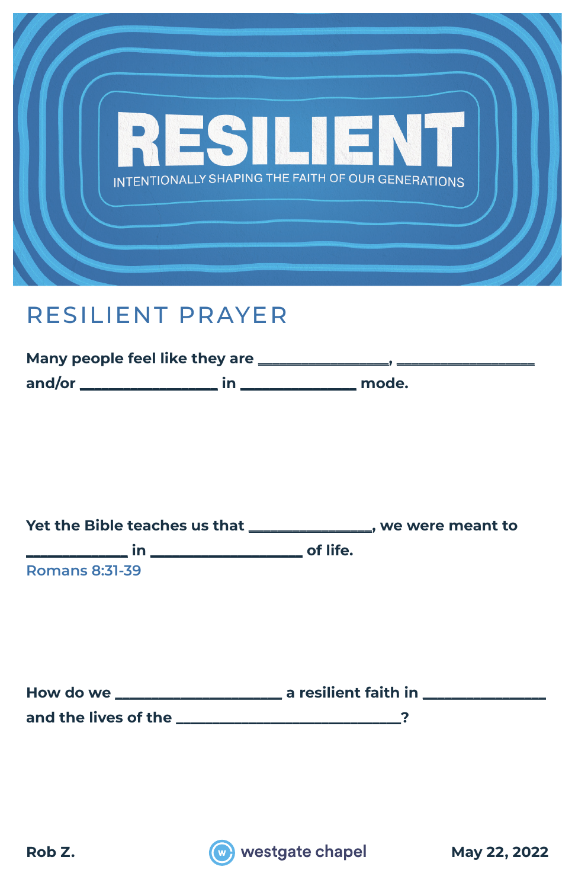

#### RESILIENT PRAYER

| Many people feel like they are |       |
|--------------------------------|-------|
| and/or                         | mode. |

**Yet the Bible teaches us that \_\_\_\_\_\_\_\_\_\_\_\_\_\_\_\_\_, we were meant to \_\_\_\_\_\_\_\_\_\_\_\_\_\_ in \_\_\_\_\_\_\_\_\_\_\_\_\_\_\_\_\_\_\_\_\_ of life. Romans 8:31-39**

| How do we            | a resilient faith in |
|----------------------|----------------------|
| and the lives of the |                      |

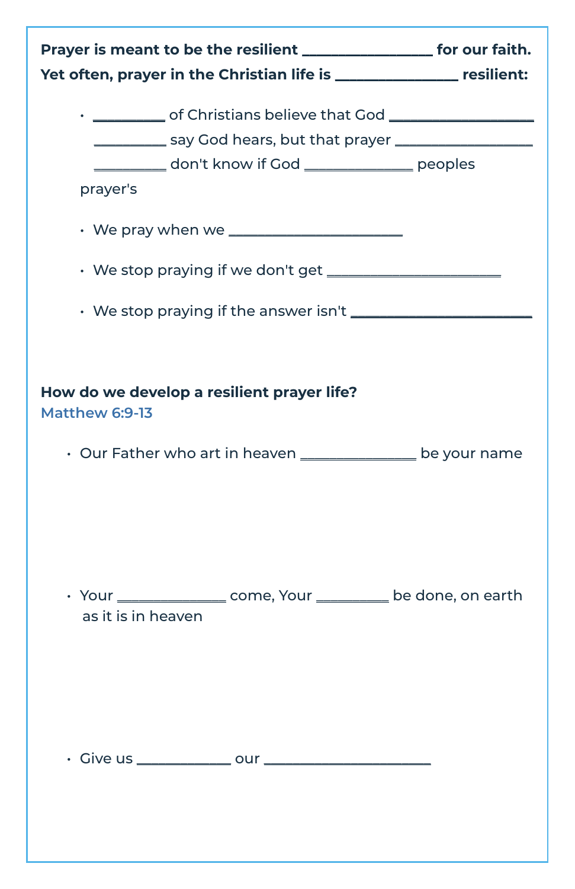| Prayer is meant to be the resilient ____________________ for our faith.<br>Yet often, prayer in the Christian life is __________________ resilient:                                                                   |  |
|-----------------------------------------------------------------------------------------------------------------------------------------------------------------------------------------------------------------------|--|
| • ____________ of Christians believe that God __________________________________<br>____________ say God hears, but that prayer _________________<br>__________ don't know if God _______________ peoples<br>prayer's |  |
|                                                                                                                                                                                                                       |  |
|                                                                                                                                                                                                                       |  |
| How do we develop a resilient prayer life?<br>Matthew 6:9-13                                                                                                                                                          |  |
| Our Father who art in heaven _______________ be your name                                                                                                                                                             |  |
| • Your ________________ come, Your __________ be done, on earth                                                                                                                                                       |  |
| as it is in heaven                                                                                                                                                                                                    |  |
|                                                                                                                                                                                                                       |  |
|                                                                                                                                                                                                                       |  |
|                                                                                                                                                                                                                       |  |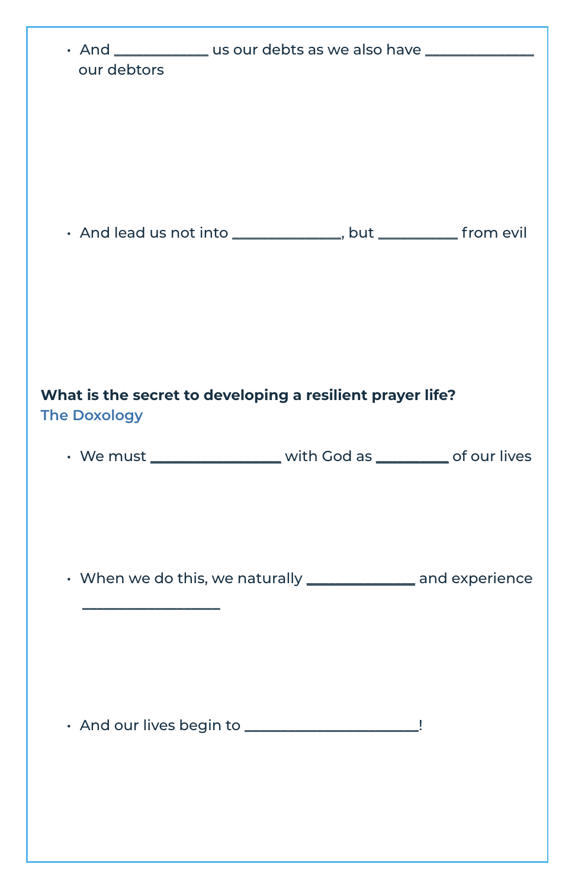| our debtors         | • And ______________ us our debts as we also have ______________________________ |   |
|---------------------|----------------------------------------------------------------------------------|---|
|                     | · And lead us not into ______________, but ___________ from evil                 |   |
| <b>The Doxology</b> | What is the secret to developing a resilient prayer life?                        |   |
|                     | • We must _________________ with God as _________ of our lives                   |   |
|                     | • When we do this, we naturally <b>[2006]</b> and experience                     |   |
|                     | · And our lives begin to ______________________                                  | Ţ |
|                     |                                                                                  |   |